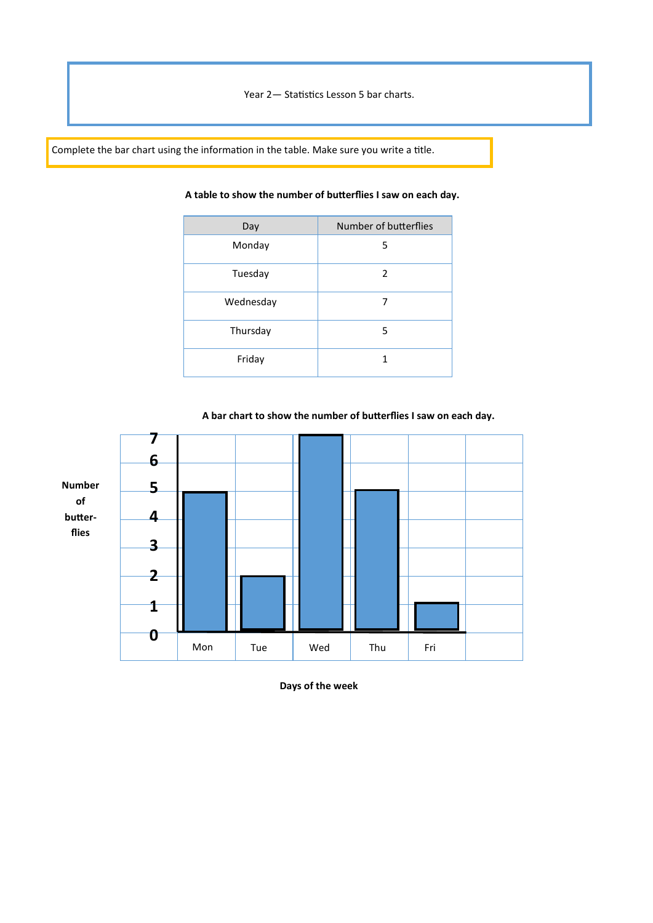Year 2— Statistics Lesson 5 bar charts.

Complete the bar chart using the information in the table. Make sure you write a title.

| Day       | Number of butterflies |  |
|-----------|-----------------------|--|
| Monday    | 5                     |  |
| Tuesday   | 2                     |  |
| Wednesday | 7                     |  |
| Thursday  | 5                     |  |
| Friday    | 1                     |  |

## **A table to show the number of butterflies I saw on each day.**



**A bar chart to show the number of butterflies I saw on each day.** 

**Days of the week**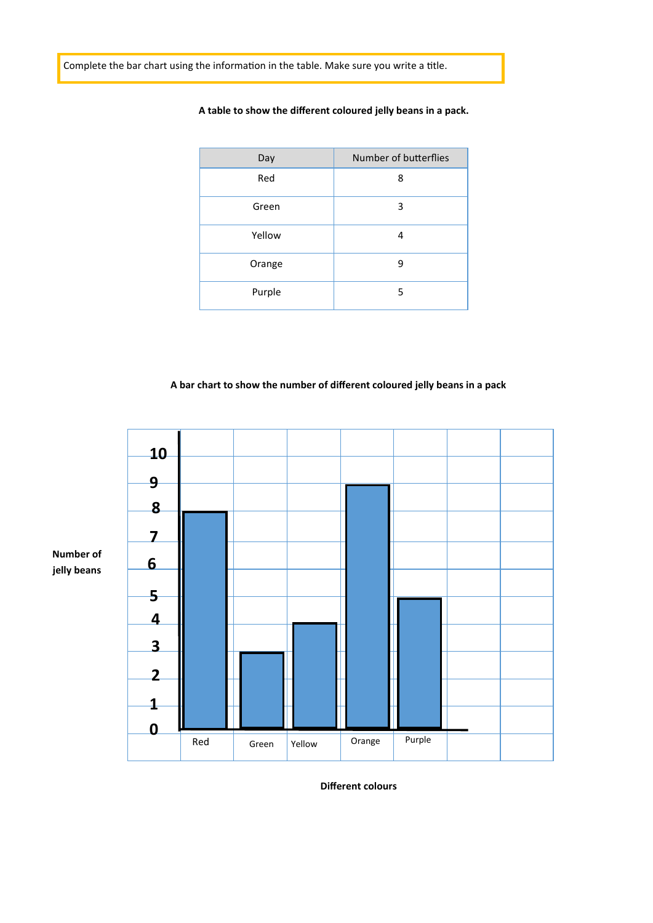Complete the bar chart using the information in the table. Make sure you write a title.

| Day    | Number of butterflies |
|--------|-----------------------|
| Red    | 8                     |
| Green  | 3                     |
| Yellow | 4                     |
| Orange | 9                     |
| Purple | 5                     |

## **A table to show the different coloured jelly beans in a pack.**

## **A bar chart to show the number of different coloured jelly beans in a pack**



**Different colours**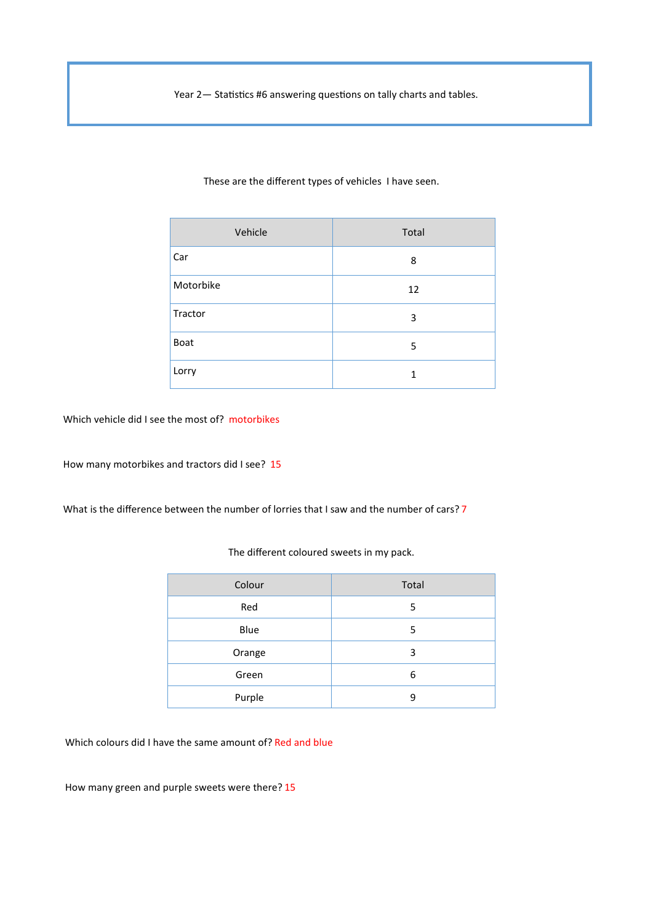Year 2— Statistics #6 answering questions on tally charts and tables.

| Vehicle   | Total |
|-----------|-------|
| Car       | 8     |
| Motorbike | 12    |
| Tractor   | 3     |
| Boat      | 5     |
| Lorry     | 1     |

These are the different types of vehicles I have seen.

Which vehicle did I see the most of? motorbikes

How many motorbikes and tractors did I see? 15

What is the difference between the number of lorries that I saw and the number of cars? 7

| Colour | Total |
|--------|-------|
| Red    | 5     |
| Blue   | 5     |
| Orange | 3     |
| Green  | 6     |
| Purple | 9     |

The different coloured sweets in my pack.

Which colours did I have the same amount of? Red and blue

How many green and purple sweets were there? 15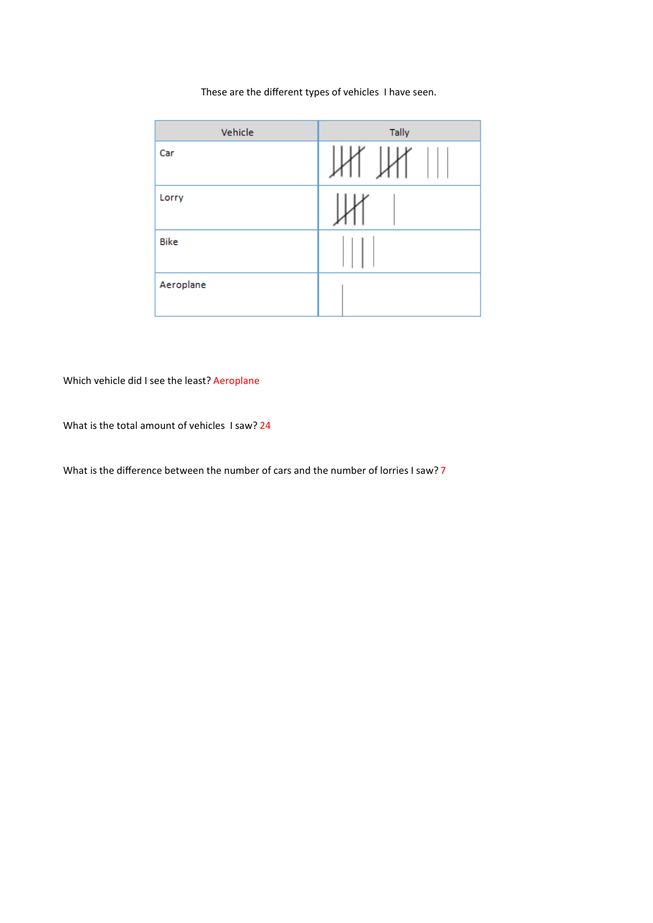These are the different types of vehicles I have seen.

| Vehicle     | Tally |
|-------------|-------|
| Car         |       |
| Lorry       |       |
| <b>Bike</b> |       |
| Aeroplane   |       |

Which vehicle did I see the least? Aeroplane

What is the total amount of vehicles I saw? 24

What is the difference between the number of cars and the number of lorries I saw? 7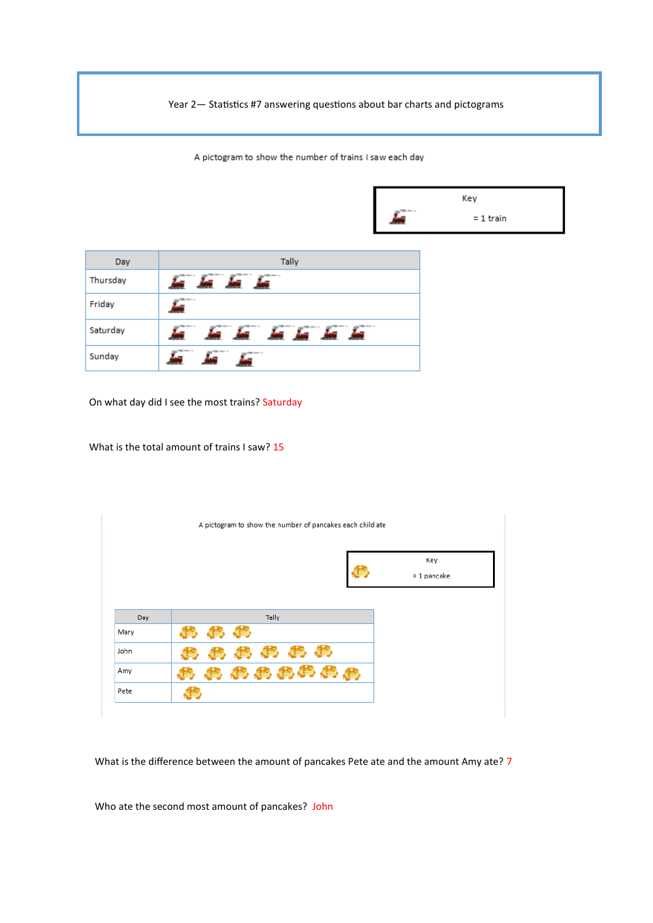Year 2— Statistics #7 answering questions about bar charts and pictograms

A pictogram to show the number of trains I saw each day

|          |                        |                     | Key         |
|----------|------------------------|---------------------|-------------|
|          |                        | <b>The other as</b> | $= 1$ train |
|          |                        |                     |             |
| Day      | <b>Tally</b>           |                     |             |
| Thursday | in in in in            |                     |             |
| Friday   | ,<br><b>A</b>          |                     |             |
| Saturday |                        |                     |             |
| Sunday   | <b>ANTISERESS</b><br>щ |                     |             |

On what day did I see the most trains? Saturday

What is the total amount of trains I saw? 15

|      | A pictogram to show the number of pancakes each child ate |                      |
|------|-----------------------------------------------------------|----------------------|
|      |                                                           | Key<br>$= 1$ pancake |
| Day  | Tally                                                     |                      |
| Mary | 、等                                                        |                      |
| John | 事典事典书                                                     |                      |
| Amy  | 鼻鼻鼻鼻鼻鼻鼻                                                   |                      |
| Pete |                                                           |                      |

What is the difference between the amount of pancakes Pete ate and the amount Amy ate? 7

Who ate the second most amount of pancakes? John